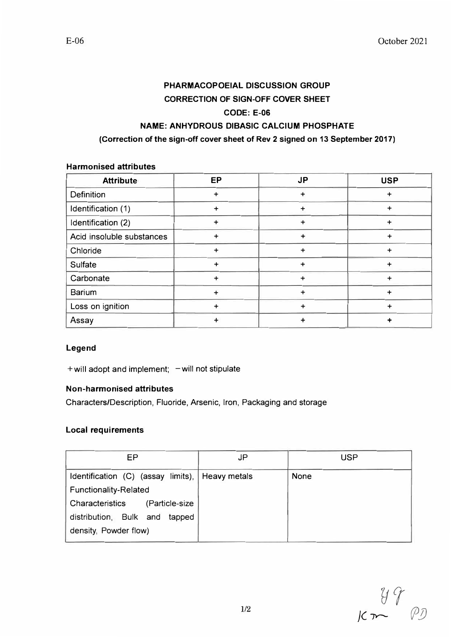# **PHARMACOPOEIAL DISCUSSION GROUP CORRECTION OF SIGN-OFF COVER SHEET CODE: E-06 NAME: ANHYDROUS DIBASIC CALCIUM PHOSPHATE**

#### **(Correction of the sign-off cover sheet of Rev 2 signed on 13 September 2017)**

## **Harmonised attributes**

| <b>Attribute</b>          | EP        | <b>JP</b> | <b>USP</b> |
|---------------------------|-----------|-----------|------------|
| Definition                | +         | $\ddot{}$ |            |
| Identification (1)        | +         | +         | +          |
| Identification (2)        | +         | +         | +          |
| Acid insoluble substances | ÷         | $\ddot{}$ | +          |
| Chloride                  | $\ddot{}$ | $\ddot{}$ | +          |
| Sulfate                   | $\div$    | ÷         | +          |
| Carbonate                 | $\ddot{}$ |           |            |
| Barium                    | $\ddot{}$ | $\ddot{}$ | +          |
| Loss on ignition          | $\ddot{}$ | +         | +          |
| Assay                     |           |           |            |

### **Legend**

 $+$  will adopt and implement;  $-$  will not stipulate

### **Non-harmonised attributes**

Characters/Description, Fluoride, Arsenic, Iron, Packaging and storage

### **Local requirements**

| EP                                              | <b>JP</b> | <b>USP</b>  |
|-------------------------------------------------|-----------|-------------|
| Identification (C) (assay limits), Heavy metals |           | <b>None</b> |
| <b>Functionality-Related</b>                    |           |             |
| Characteristics (Particle-size                  |           |             |
| distribution, Bulk and tapped                   |           |             |
| density, Powder flow)                           |           |             |

*Y7 Jc* 7Y- *(/J!)*